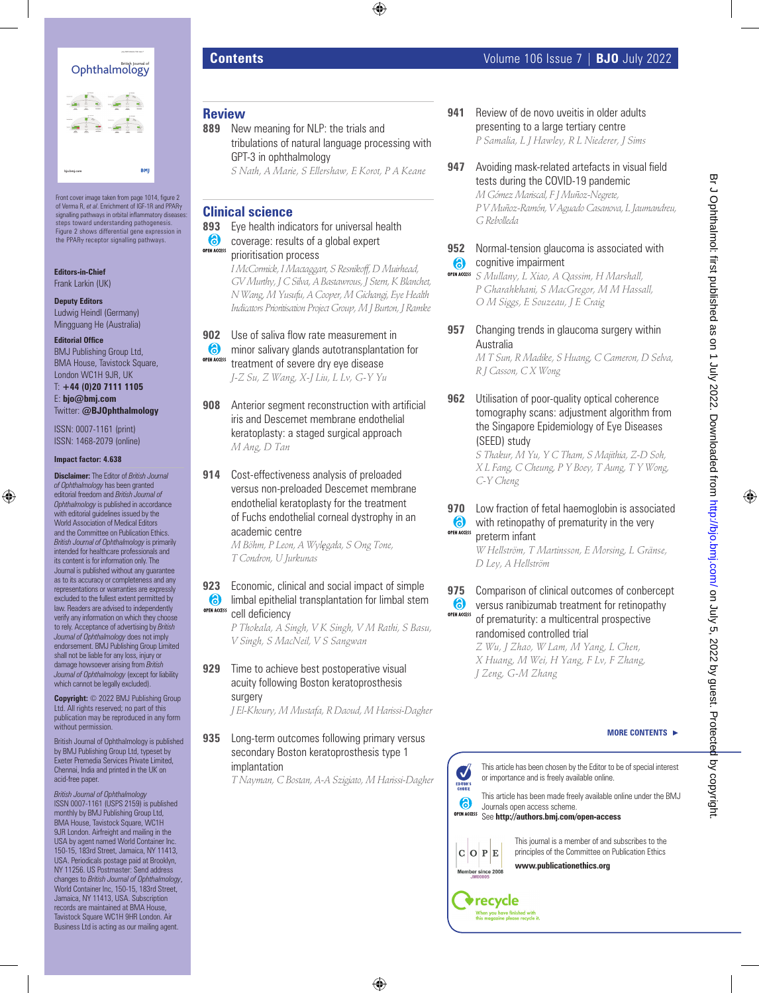

Front cover image taken from page 1014, figure 2 of Verma R, *et al*. Enrichment of IGF-1R and PPARγ signalling pathways in orbital inflammatory diseases steps toward understanding pathogenesis. Figure 2 shows differential gene expression in the PPARγ receptor signalling pathways.

**Editors-in-Chief** Frank Larkin (UK)

**Deputy Editors** Ludwig Heindl (Germany) Mingguang He (Australia)

#### **Editorial Office**

BMJ Publishing Group Ltd, BMA House, Tavistock Square, London WC1H 9JR, UK

T: **+44 (0)20 7111 1105** E: **bjo@bmj.com** Twitter: **@BJOphthalmology**

ISSN: 0007-1161 (print) ISSN: 1468-2079 (online)

#### **Impact factor: 4.638**

**Disclaimer:** The Editor of *British Journal of Ophthalmology* has been granted editorial freedom and *British Journal of Ophthalmology* is published in accordance with editorial quidelines issued by the World Association of Medical Editors and the Committee on Publication Ethics. *British Journal of Ophthalmology* is primarily intended for healthcare professionals and its content is for information only. The Journal is published without any guarantee as to its accuracy or completeness and any representations or warranties are expressly excluded to the fullest extent permitted by law. Readers are advised to independently verify any information on which they choose to rely. Acceptance of advertising by *British Journal of Ophthalmology* does not imply endorsement. BMJ Publishing Group Limited shall not be liable for any loss, injury or damage howsoever arising from *British Journal of Ophthalmology* (except for liability which cannot be legally excluded)

**Copyright:** © 2022 BMJ Publishing Group Ltd. All rights reserved; no part of this publication may be reproduced in any form without permission.

British Journal of Ophthalmology is published by BMJ Publishing Group Ltd, typeset by Exeter Premedia Services Private Limited, Chennai, India and printed in the UK on acid-free paper.

*British Journal of Ophthalmology* ISSN 0007-1161 (USPS 2159) is published monthly by BMJ Publishing Group Ltd, BMA House, Tavistock Square, WC1H 9JR London. Airfreight and mailing in the USA by agent named World Container Inc. 150-15, 183rd Street, Jamaica, NY 11413, USA. Periodicals postage paid at Brooklyn, NY 11256. US Postmaster: Send address changes to *British Journal of Ophthalmology*, World Container Inc, 150-15, 183rd Street, Jamaica, NY 11413, USA. Subscription records are maintained at BMA House, Tavistock Square WC1H 9HR London. Air Business Ltd is acting as our mailing agent.

## **Review**

- **889** New meaning for NLP: the trials and tribulations of natural language processing with GPT-3 in ophthalmology
	- *S Nath, A Marie, S Ellershaw, E Korot, P A Keane*

## **Clinical science**

### **893** Eye health indicators for universal health

- 6 coverage: results of a global expert **OPEN ACCESS** 
	- prioritisation process *I McCormick, I Mactaggart, S Resnikoff, D Muirhead, GV Murthy, J C Silva, A Bastawrous, J Stern, K Blanchet, N Wang, M Yusufu, A Cooper, M Gichangi, Eye Health Indicators Prioritisation Project Group, M J Burton, J Ramke*
- **902** Use of saliva flow rate measurement in
- **6** minor salivary glands autotransplantation for **OPEN ACCESS** treatment of severe dry eye disease *J-Z Su, Z Wang, X-J Liu, L Lv, G-Y Yu*
- **908** Anterior segment reconstruction with artificial iris and Descemet membrane endothelial keratoplasty: a staged surgical approach *M Ang, D Tan*
- **914** Cost-effectiveness analysis of preloaded versus non-preloaded Descemet membrane endothelial keratoplasty for the treatment of Fuchs endothelial corneal dystrophy in an academic centre

*M Böhm, P Leon, A Wylęgała, S Ong Tone, T Condron, U Jurkunas*

**923** Economic, clinical and social impact of simple **b** limbal epithelial transplantation for limbal stem OPEN ACCESS cell deficiency

*P Thokala, A Singh, V K Singh, V M Rathi, S Basu, V Singh, S MacNeil, V S Sangwan*

**929** Time to achieve best postoperative visual acuity following Boston keratoprosthesis surgery

*J El-Khoury, M Mustafa, R Daoud, M Harissi-Dagher*

**935** Long-term outcomes following primary versus secondary Boston keratoprosthesis type 1 implantation

*T Nayman, C Bostan, A-A Szigiato, M Harissi-Dagher*

- **941** Review of de novo uveitis in older adults presenting to a large tertiary centre *P Samalia, L J Hawley, R L Niederer, J Sims*
- **947** Avoiding mask-related artefacts in visual field tests during the COVID-19 pandemic *M Gómez Mariscal, F J Muñoz-Negrete, P V Muñoz-Ramón, V Aguado Casanova, L Jaumandreu, G Rebolleda*

### **952** Normal-tension glaucoma is associated with cognitive impairment

- *S Mullany, L Xiao, A Qassim, H Marshall, P Gharahkhani, S MacGregor, M M Hassall, O M Siggs, E Souzeau, J E Craig*
- **957** Changing trends in glaucoma surgery within Australia

*M T Sun, R Madike, S Huang, C Cameron, D Selva, R J Casson, C X Wong*

**962** Utilisation of poor-quality optical coherence tomography scans: adjustment algorithm from the Singapore Epidemiology of Eye Diseases (SEED) study

*S Thakur, M Yu, Y C Tham, S Majithia, Z-D Soh, X L Fang, C Cheung, P Y Boey, T Aung, T Y Wong, C-Y Cheng*

**970** Low fraction of fetal haemoglobin is associated 6 with retinopathy of prematurity in the very **OPEN ACCESS** 

preterm infant *W Hellström, T Martinsson, E Morsing, L Gränse, D Ley, A Hellström*

**975** Comparison of clinical outcomes of conbercept  $\bullet$ versus ranibizumab treatment for retinopathy OPEN ACCESS of prematurity: a multicentral prospective

> randomised controlled trial *Z Wu, J Zhao, W Lam, M Yang, L Chen, X Huang, M Wei, H Yang, F Lv, F Zhang, J Zeng, G-M Zhang*



This article has been chosen by the Editor to be of special interest or importance and is freely available online.

This article has been made freely available online under the BMJ Journals open access scheme. See **http://authors.bmj.com/open-access**



**V**recycle

This journal is a member of and subscribes to the principles of the Committee on Publication Ethics **www.publicationethics.org**



Br J Ophthalmol: first published as on 1 July 2022. Downloaded from <http://bjo.bmj.com/> on July 5, 2022 by guest. Protected by copyright.

Br J Ophthalmol: first published as on 1 July 2022. Downloaded from http://bjo.bmj.com/ on July 5, 2022 by guest. Protected by copyright